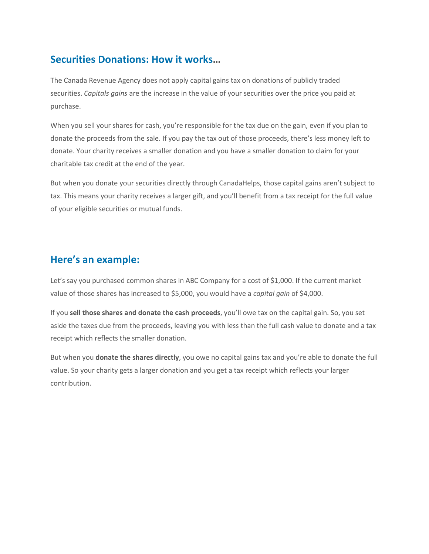## **Securities Donations: How it works…**

The Canada Revenue Agency does not apply capital gains tax on donations of publicly traded securities. *Capitals gains* are the increase in the value of your securities over the price you paid at purchase.

When you sell your shares for cash, you're responsible for the tax due on the gain, even if you plan to donate the proceeds from the sale. If you pay the tax out of those proceeds, there's less money left to donate. Your charity receives a smaller donation and you have a smaller donation to claim for your charitable tax credit at the end of the year.

But when you donate your securities directly through CanadaHelps, those capital gains aren't subject to tax. This means your charity receives a larger gift, and you'll benefit from a tax receipt for the full value of your eligible securities or mutual funds.

## **Here's an example:**

Let's say you purchased common shares in ABC Company for a cost of \$1,000. If the current market value of those shares has increased to \$5,000, you would have a *capital gain* of \$4,000.

If you **sell those shares and donate the cash proceeds**, you'll owe tax on the capital gain. So, you set aside the taxes due from the proceeds, leaving you with less than the full cash value to donate and a tax receipt which reflects the smaller donation.

But when you **donate the shares directly**, you owe no capital gains tax and you're able to donate the full value. So your charity gets a larger donation and you get a tax receipt which reflects your larger contribution.